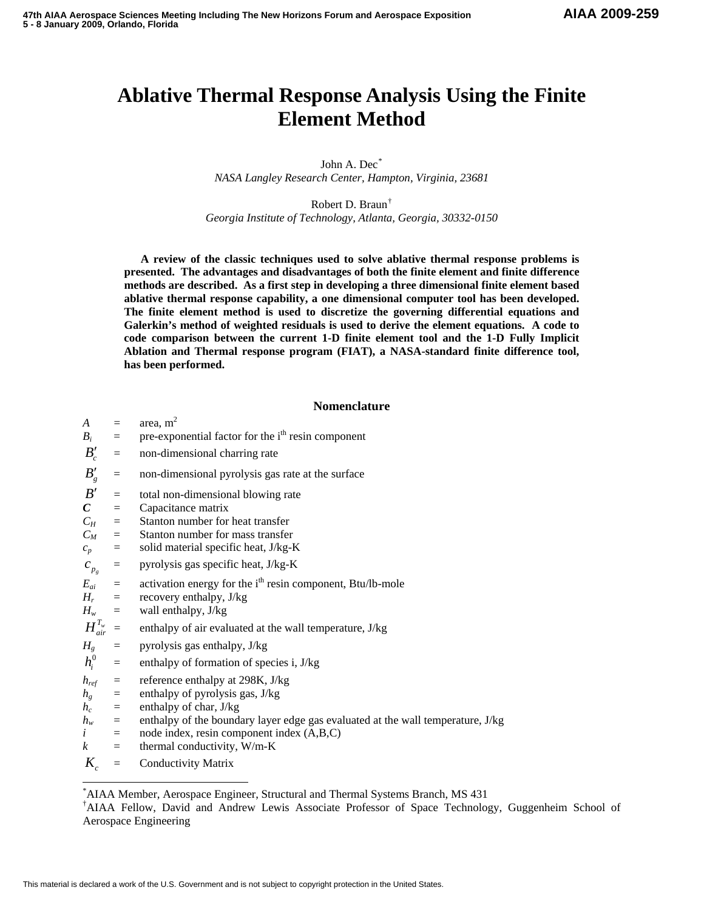# **Ablative Thermal Response Analysis Using the Finite Element Method**

John A. Dec<sup>[\\*](#page-0-0)</sup> *NASA Langley Research Center, Hampton, Virginia, 23681* 

Robert D. Braun[†](#page-0-1) *Georgia Institute of Technology, Atlanta, Georgia, 30332-0150* 

**A review of the classic techniques used to solve ablative thermal response problems is presented. The advantages and disadvantages of both the finite element and finite difference methods are described. As a first step in developing a three dimensional finite element based ablative thermal response capability, a one dimensional computer tool has been developed. The finite element method is used to discretize the governing differential equations and Galerkin's method of weighted residuals is used to derive the element equations. A code to code comparison between the current 1-D finite element tool and the 1-D Fully Implicit Ablation and Thermal response program (FIAT), a NASA-standard finite difference tool, has been performed.** 

# **Nomenclature**

| $\bm{A}$          | $=$      | area, $m2$                                                                      |
|-------------------|----------|---------------------------------------------------------------------------------|
| $B_i$             | $=$ .    | pre-exponential factor for the i <sup>th</sup> resin component                  |
| $B_c'$            | $=$      | non-dimensional charring rate                                                   |
| $B'_{g}$          | $=$      | non-dimensional pyrolysis gas rate at the surface                               |
| B'                | $\equiv$ | total non-dimensional blowing rate                                              |
| $\mathcal{C}$     | $\equiv$ | Capacitance matrix                                                              |
| $C_H$ =           |          | Stanton number for heat transfer                                                |
| $C_M =$           |          | Stanton number for mass transfer                                                |
| $c_p$             | $=$      | solid material specific heat, J/kg-K                                            |
| $c_{p_g}$         | $\equiv$ | pyrolysis gas specific heat, J/kg-K                                             |
| $E_{ai}$ =        |          | activation energy for the i <sup>th</sup> resin component, Btu/lb-mole          |
| $H_r =$           |          | recovery enthalpy, J/kg                                                         |
| $H_w$ =           |          | wall enthalpy, J/kg                                                             |
| $H_{air}^{T_w}$ = |          | enthalpy of air evaluated at the wall temperature, J/kg                         |
| $H_g$             | $=$      | pyrolysis gas enthalpy, J/kg                                                    |
| $h_i^0$           | $\equiv$ | enthalpy of formation of species i, J/kg                                        |
| $h_{ref}$ =       |          | reference enthalpy at 298K, J/kg                                                |
| $h_g = h_c =$     |          | enthalpy of pyrolysis gas, J/kg                                                 |
|                   |          | enthalpy of char, J/kg                                                          |
| $h_w =$           |          | enthalpy of the boundary layer edge gas evaluated at the wall temperature, J/kg |
| $i =$             |          | node index, resin component index (A,B,C)                                       |
| $\mathbf{k}$      | $=$      | thermal conductivity, W/m-K                                                     |
| $K_c$             | $\equiv$ | <b>Conductivity Matrix</b>                                                      |

\* AIAA Member, Aerospace Engineer, Structural and Thermal Systems Branch, MS 431

l

<span id="page-0-1"></span><span id="page-0-0"></span><sup>†</sup> AIAA Fellow, David and Andrew Lewis Associate Professor of Space Technology, Guggenheim School of Aerospace Engineering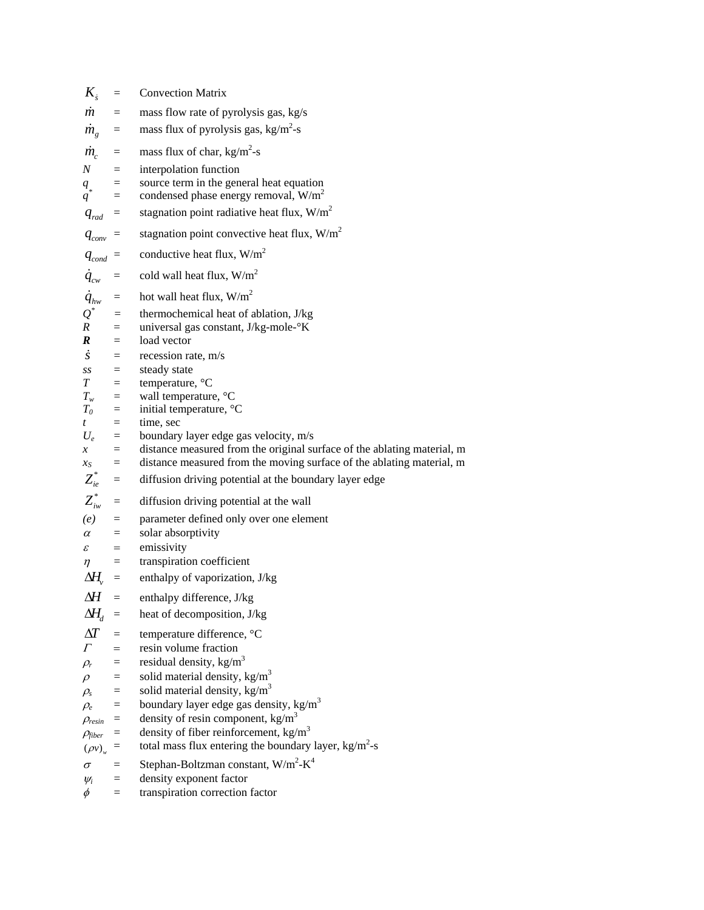| $K_{\varepsilon}$                            | $\quad =$            | <b>Convection Matrix</b>                                                                                         |
|----------------------------------------------|----------------------|------------------------------------------------------------------------------------------------------------------|
| $\dot{m}$                                    | $=$                  | mass flow rate of pyrolysis gas, kg/s                                                                            |
| $m_{\rm g}$                                  | $\equiv$             | mass flux of pyrolysis gas, $kg/m^2-s$                                                                           |
| $\dot{m}_c$ =                                |                      | mass flux of char, $\text{kg/m}^2$ -s                                                                            |
| $N =$                                        |                      | interpolation function                                                                                           |
|                                              |                      | source term in the general heat equation                                                                         |
| $q_*$ =<br>$q^*$ =                           |                      | condensed phase energy removal, W/m <sup>2</sup>                                                                 |
| $q_{rad}$ =                                  |                      | stagnation point radiative heat flux, $W/m^2$                                                                    |
| $q_{conv}$ =                                 |                      | stagnation point convective heat flux, $W/m^2$                                                                   |
| $q_{cond}$ =                                 |                      | conductive heat flux, $W/m^2$                                                                                    |
| $\dot{q}_{\scriptscriptstyle CW}^{}$         | $\equiv$             | cold wall heat flux, $W/m^2$                                                                                     |
| $\frac{\dot{q}_{\scriptscriptstyle{hw}}}{R}$ | $\quad \  \  =$      | hot wall heat flux, $W/m^2$                                                                                      |
|                                              | $\quad =$            | thermochemical heat of ablation, J/kg                                                                            |
|                                              | $\equiv$             | universal gas constant, J/kg-mole-°K                                                                             |
| $\boldsymbol{R}$                             | $\quad \  \  =$      | load vector                                                                                                      |
| $\dot{s}$                                    | $\equiv$             | recession rate, m/s                                                                                              |
| $ss =$                                       |                      | steady state                                                                                                     |
| $T =$                                        |                      | temperature, °C                                                                                                  |
| $T_w$                                        | $\equiv$             | wall temperature, °C                                                                                             |
| $T_{\it 0}$                                  | $\equiv$             | initial temperature, °C                                                                                          |
| t                                            | $\equiv$             | time, sec                                                                                                        |
| $U_e$                                        | $\equiv$             | boundary layer edge gas velocity, m/s<br>distance measured from the original surface of the ablating material, m |
| $\mathcal{X}$<br>$x_S$                       | $\equiv$<br>$\equiv$ | distance measured from the moving surface of the ablating material, m                                            |
|                                              |                      |                                                                                                                  |
| $\overset{\circ}{Z}{}^*_{ie} \ Z^*_{iw}$     | $=$                  | diffusion driving potential at the boundary layer edge                                                           |
|                                              | $\quad = \quad$      | diffusion driving potential at the wall                                                                          |
| (e)                                          | $\equiv$             | parameter defined only over one element                                                                          |
| $\alpha =$                                   |                      | solar absorptivity                                                                                               |
| $\varepsilon =$                              |                      | emissivity                                                                                                       |
| $\eta$ =                                     |                      | transpiration coefficient                                                                                        |
| $\Delta H$ <sub>v</sub> =                    |                      | enthalpy of vaporization, J/kg                                                                                   |
| $\Delta H =$                                 |                      | enthalpy difference, J/kg                                                                                        |
| $\Delta H_d$ =                               |                      | heat of decomposition, J/kg                                                                                      |
| $\Delta T$                                   | $=$                  | temperature difference, °C                                                                                       |
|                                              | $=$                  | resin volume fraction                                                                                            |
| $\rho_{r}$                                   | $=$                  | residual density, $\text{kg/m}^3$                                                                                |
| $\rho$                                       | $=$                  | solid material density, $kg/m3$                                                                                  |
| $\rho_{\rm s}$                               | $=$                  | solid material density, $kg/m3$                                                                                  |
| $\rho_e$                                     | $=$                  | boundary layer edge gas density, $kg/m3$                                                                         |
| $\rho_{resin}$                               | $=$                  | density of resin component, $kg/m3$                                                                              |
| $\rho_{\text{fiber}}$                        | $=$                  | density of fiber reinforcement, $kg/m3$                                                                          |
| $(\rho v)_w$                                 | $=$                  | total mass flux entering the boundary layer, $\text{kg/m}^2$ -s                                                  |
| σ                                            | $=$                  | Stephan-Boltzman constant, W/m <sup>2</sup> -K <sup>4</sup>                                                      |
| $\psi_i$                                     | $=$                  | density exponent factor                                                                                          |
| $\phi$                                       | $=$                  | transpiration correction factor                                                                                  |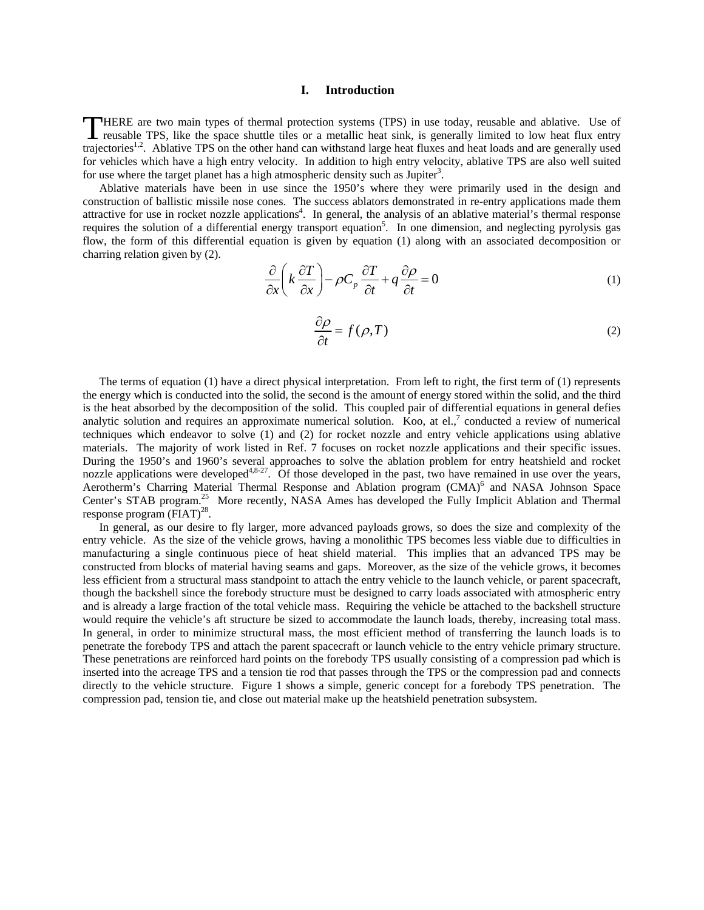#### **I. Introduction**

HERE are two main types of thermal protection systems (TPS) in use today, reusable and ablative. Use of THERE are two main types of thermal protection systems (TPS) in use today, reusable and ablative. Use of reusable TPS, like the space shuttle tiles or a metallic heat sink, is generally limited to low heat flux entry trajectories<sup>1,2</sup>. Ablative TPS on the other hand can withstand large heat fluxes and heat loads and are generally used for vehicles which have a high entry velocity. In addition to high entry velocity, ablative TPS are also well suited for use where the target planet has a high atmospheric density such as Jupiter<sup>3</sup>.

 Ablative materials have been in use since the 1950's where they were primarily used in the design and construction of ballistic missile nose cones. The success ablators demonstrated in re-entry applications made them attractive for use in rocket nozzle applications<sup>4</sup>. In general, the analysis of an ablative material's thermal response requires the solution of a differential energy transport equation<sup>5</sup>. In one dimension, and neglecting pyrolysis gas flow, the form of this differential equation is given by equation [\(1\)](#page-2-0) along with an associated decomposition or charring relation given by [\(2\).](#page-2-1)

<span id="page-2-1"></span><span id="page-2-0"></span>
$$
\frac{\partial}{\partial x}\left(k\frac{\partial T}{\partial x}\right) - \rho C_p \frac{\partial T}{\partial t} + q \frac{\partial \rho}{\partial t} = 0
$$
\n(1)

$$
\frac{\partial \rho}{\partial t} = f(\rho, T) \tag{2}
$$

 The terms of equation [\(1\)](#page-2-0) have a direct physical interpretation. From left to right, the first term of [\(1\)](#page-2-0) represents the energy which is conducted into the solid, the second is the amount of energy stored within the solid, and the third is the heat absorbed by the decomposition of the solid. This coupled pair of differential equations in general defies analytic solution and requires an approximate numerical solution. Koo, at el., $\frac{7}{1}$  conducted a review of numerical techniques which endeavor to solve [\(1\)](#page-2-0) and [\(2\)](#page-2-1) for rocket nozzle and entry vehicle applications using ablative materials. The majority of work listed in Ref. 7 focuses on rocket nozzle applications and their specific issues. During the 1950's and 1960's several approaches to solve the ablation problem for entry heatshield and rocket nozzle applications were developed<sup>4,8-27</sup>. Of those developed in the past, two have remained in use over the years, Aerotherm's Charring Material Thermal Response and Ablation program (CMA)<sup>6</sup> and NASA Johnson Space Center's STAB program.<sup>25</sup> More recently, NASA Ames has developed the Fully Implicit Ablation and Thermal response program (FIAT)<sup>28</sup>.

 In general, as our desire to fly larger, more advanced payloads grows, so does the size and complexity of the entry vehicle. As the size of the vehicle grows, having a monolithic TPS becomes less viable due to difficulties in manufacturing a single continuous piece of heat shield material. This implies that an advanced TPS may be constructed from blocks of material having seams and gaps. Moreover, as the size of the vehicle grows, it becomes less efficient from a structural mass standpoint to attach the entry vehicle to the launch vehicle, or parent spacecraft, though the backshell since the forebody structure must be designed to carry loads associated with atmospheric entry and is already a large fraction of the total vehicle mass. Requiring the vehicle be attached to the backshell structure would require the vehicle's aft structure be sized to accommodate the launch loads, thereby, increasing total mass. In general, in order to minimize structural mass, the most efficient method of transferring the launch loads is to penetrate the forebody TPS and attach the parent spacecraft or launch vehicle to the entry vehicle primary structure. These penetrations are reinforced hard points on the forebody TPS usually consisting of a compression pad which is inserted into the acreage TPS and a tension tie rod that passes through the TPS or the compression pad and connects directly to the vehicle structure. [Figure 1](#page-3-0) shows a simple, generic concept for a forebody TPS penetration. The compression pad, tension tie, and close out material make up the heatshield penetration subsystem.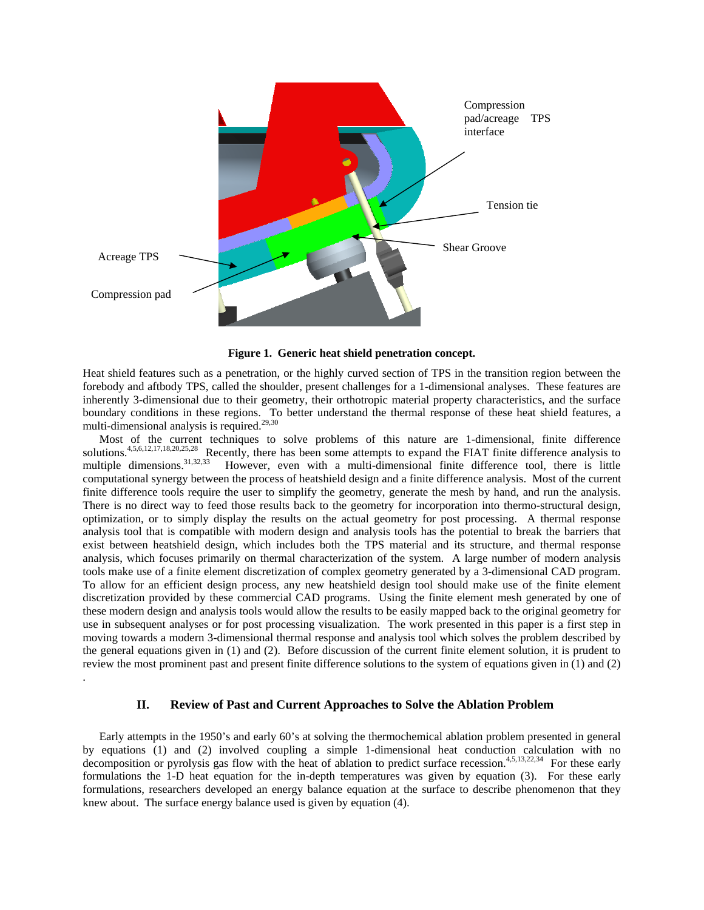

**Figure 1. Generic heat shield penetration concept.** 

<span id="page-3-0"></span>Heat shield features such as a penetration, or the highly curved section of TPS in the transition region between the forebody and aftbody TPS, called the shoulder, present challenges for a 1-dimensional analyses. These features are inherently 3-dimensional due to their geometry, their orthotropic material property characteristics, and the surface boundary conditions in these regions. To better understand the thermal response of these heat shield features, a multi-dimensional analysis is required.<sup>29,30</sup>

 Most of the current techniques to solve problems of this nature are 1-dimensional, finite difference solutions.<sup>4,5,6,12,17,18,20,25,28</sup> Recently, there has been some attempts to expand the FIAT finite difference analysis to multiple dimensions.<sup>31,32,33</sup> However, even with a multi-dimensional finite difference tool, the However, even with a multi-dimensional finite difference tool, there is little computational synergy between the process of heatshield design and a finite difference analysis. Most of the current finite difference tools require the user to simplify the geometry, generate the mesh by hand, and run the analysis. There is no direct way to feed those results back to the geometry for incorporation into thermo-structural design, optimization, or to simply display the results on the actual geometry for post processing. A thermal response analysis tool that is compatible with modern design and analysis tools has the potential to break the barriers that exist between heatshield design, which includes both the TPS material and its structure, and thermal response analysis, which focuses primarily on thermal characterization of the system. A large number of modern analysis tools make use of a finite element discretization of complex geometry generated by a 3-dimensional CAD program. To allow for an efficient design process, any new heatshield design tool should make use of the finite element discretization provided by these commercial CAD programs. Using the finite element mesh generated by one of these modern design and analysis tools would allow the results to be easily mapped back to the original geometry for use in subsequent analyses or for post processing visualization. The work presented in this paper is a first step in moving towards a modern 3-dimensional thermal response and analysis tool which solves the problem described by the general equations given in [\(1\)](#page-2-0) and [\(2\).](#page-2-1) Before discussion of the current finite element solution, it is prudent to review the most prominent past and present finite difference solutions to the system of equations given in [\(1\)](#page-2-0) and [\(2\)](#page-2-1) .

# **II. Review of Past and Current Approaches to Solve the Ablation Problem**

 Early attempts in the 1950's and early 60's at solving the thermochemical ablation problem presented in general by equations [\(1\)](#page-2-0) and [\(2\)](#page-2-1) involved coupling a simple 1-dimensional heat conduction calculation with no decomposition or pyrolysis gas flow with the heat of ablation to predict surface recession.<sup>4,5,13,22,34</sup> For these early formulations the 1-D heat equation for the in-depth temperatures was given by equation [\(3\).](#page-4-0) For these early formulations, researchers developed an energy balance equation at the surface to describe phenomenon that they knew about. The surface energy balance used is given by equation [\(4\).](#page-4-1)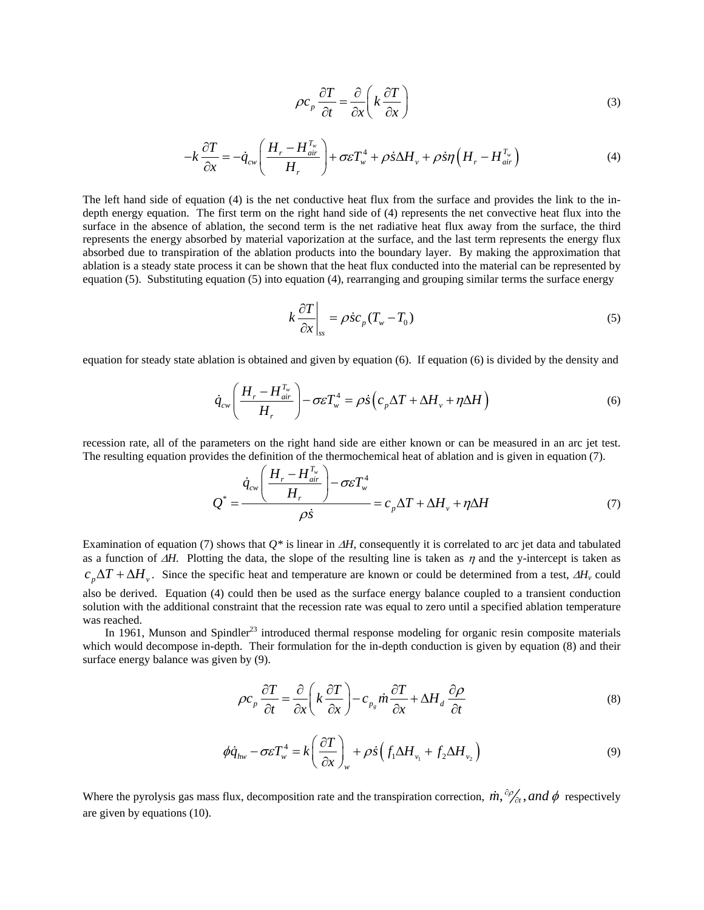$$
\rho c_p \frac{\partial T}{\partial t} = \frac{\partial}{\partial x} \left( k \frac{\partial T}{\partial x} \right)
$$
 (3)

<span id="page-4-1"></span><span id="page-4-0"></span>
$$
-k\frac{\partial T}{\partial x} = -\dot{q}_{cw} \left( \frac{H_r - H_{air}^{T_w}}{H_r} \right) + \sigma \varepsilon T_w^4 + \rho \dot{s} \Delta H_v + \rho \dot{s} \eta \left( H_r - H_{air}^{T_w} \right) \tag{4}
$$

The left hand side of equation [\(4\)](#page-4-1) is the net conductive heat flux from the surface and provides the link to the indepth energy equation. The first term on the right hand side of [\(4\)](#page-4-1) represents the net convective heat flux into the surface in the absence of ablation, the second term is the net radiative heat flux away from the surface, the third represents the energy absorbed by material vaporization at the surface, and the last term represents the energy flux absorbed due to transpiration of the ablation products into the boundary layer. By making the approximation that ablation is a steady state process it can be shown that the heat flux conducted into the material can be represented by equation [\(5\).](#page-4-2) Substituting equation [\(5\)](#page-4-2) into equation [\(4\),](#page-4-1) rearranging and grouping similar terms the surface energy

<span id="page-4-2"></span>
$$
k\frac{\partial T}{\partial x}\bigg|_{ss} = \rho \dot{S}c_p (T_w - T_0) \tag{5}
$$

<span id="page-4-3"></span>equation for steady state ablation is obtained and given by equation [\(6\).](#page-4-3) If equation [\(6\)](#page-4-3) is divided by the density and

$$
\dot{q}_{cw} \left( \frac{H_r - H_{air}^{T_w}}{H_r} \right) - \sigma \varepsilon T_w^4 = \rho \dot{s} \left( c_p \Delta T + \Delta H_v + \eta \Delta H \right) \tag{6}
$$

<span id="page-4-4"></span>recession rate, all of the parameters on the right hand side are either known or can be measured in an arc jet test. The resulting equation provides the definition of the thermochemical heat of ablation and is given in equation [\(7\)](#page-4-4).

$$
Q^* = \frac{\dot{q}_{cw} \left( \frac{H_r - H_{air}^{T_w}}{H_r} \right) - \sigma \varepsilon T_w^4}{\rho \dot{s}} = c_p \Delta T + \Delta H_v + \eta \Delta H \tag{7}
$$

 $c_p\Delta T + \Delta H_v$ . Since the specific heat and temperature are known or could be determined from a test,  $\Delta H_v$  could Examination of equation [\(7\)](#page-4-4) shows that *Q\** is linear in Δ*H*, consequently it is correlated to arc jet data and tabulated as a function of  $\Delta H$ . Plotting the data, the slope of the resulting line is taken as  $\eta$  and the y-intercept is taken as also be derived. Equation [\(4\)](#page-4-1) could then be used as the surface energy balance coupled to a transient conduction solution with the additional constraint that the recession rate was equal to zero until a specified ablation temperature was reached.

<span id="page-4-5"></span>In 1961, Munson and Spindler<sup>23</sup> introduced thermal response modeling for organic resin composite materials which would decompose in-depth. Their formulation for the in-depth conduction is given by equation [\(8\)](#page-4-5) and their surface energy balance was given by [\(9\)](#page-4-6).

$$
\rho c_p \frac{\partial T}{\partial t} = \frac{\partial}{\partial x} \left( k \frac{\partial T}{\partial x} \right) - c_{p_g} \dot{m} \frac{\partial T}{\partial x} + \Delta H_d \frac{\partial \rho}{\partial t}
$$
(8)

$$
\phi \dot{q}_{hw} - \sigma \varepsilon T_w^4 = k \left( \frac{\partial T}{\partial x} \right)_w + \rho \dot{s} \left( f_1 \Delta H_{v_1} + f_2 \Delta H_{v_2} \right) \tag{9}
$$

<span id="page-4-6"></span>Where the pyrolysis gas mass flux, decomposition rate and the transpiration correction,  $\dot{m}$ ,  $\partial\phi'$ , and  $\phi$  respectively are given by equations [\(10\).](#page-5-0)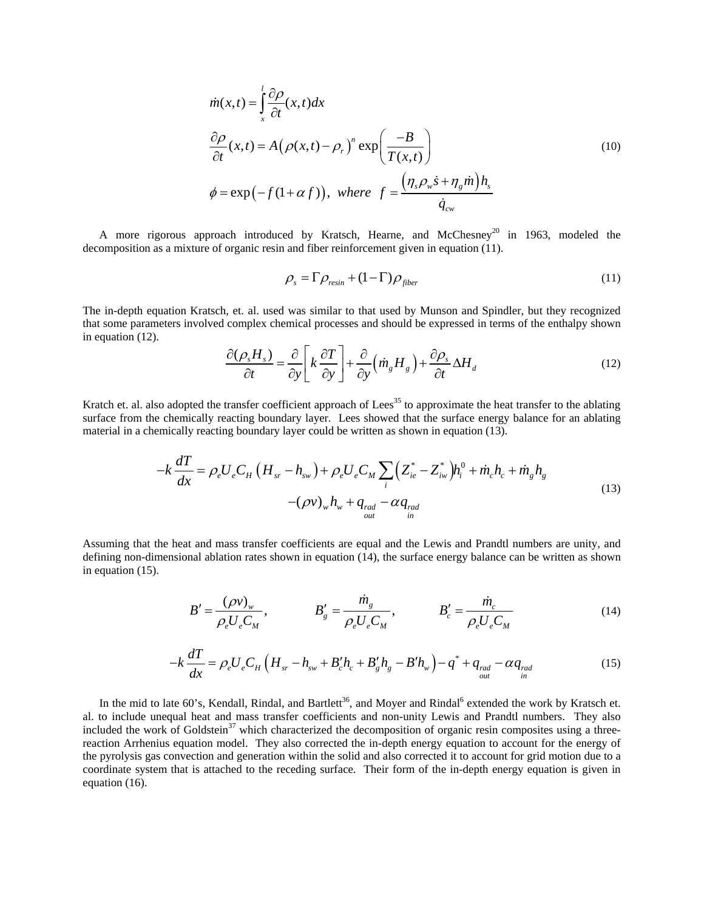$$
\dot{m}(x,t) = \int_{x}^{l} \frac{\partial \rho}{\partial t}(x,t) dx
$$
  

$$
\frac{\partial \rho}{\partial t}(x,t) = A(\rho(x,t) - \rho_r)^n \exp\left(\frac{-B}{T(x,t)}\right)
$$
  

$$
\phi = \exp(-f(1+\alpha f)), \text{ where } f = \frac{\left(\eta_s \rho_w \dot{s} + \eta_g \dot{m}\right)h_s}{\dot{q}_{cw}}
$$
\n(10)

<span id="page-5-0"></span>A more rigorous approach introduced by Kratsch, Hearne, and McChesney<sup>20</sup> in 1963, modeled the decomposition as a mixture of organic resin and fiber reinforcement given in equation [\(11\)](#page-5-1).

$$
\rho_s = \Gamma \rho_{\text{resin}} + (1 - \Gamma) \rho_{\text{fiber}} \tag{11}
$$

<span id="page-5-2"></span><span id="page-5-1"></span>The in-depth equation Kratsch, et. al. used was similar to that used by Munson and Spindler, but they recognized that some parameters involved complex chemical processes and should be expressed in terms of the enthalpy shown in equation [\(12\).](#page-5-2)

$$
\frac{\partial(\rho_s H_s)}{\partial t} = \frac{\partial}{\partial y} \left[ k \frac{\partial T}{\partial y} \right] + \frac{\partial}{\partial y} \left( \dot{m}_g H_g \right) + \frac{\partial \rho_s}{\partial t} \Delta H_d \tag{12}
$$

<span id="page-5-3"></span>Kratch et. al. also adopted the transfer coefficient approach of Lees<sup>35</sup> to approximate the heat transfer to the ablating surface from the chemically reacting boundary layer. Lees showed that the surface energy balance for an ablating material in a chemically reacting boundary layer could be written as shown in equation [\(13\)](#page-5-3).

$$
-k\frac{dT}{dx} = \rho_e U_e C_H (H_{sr} - h_{sw}) + \rho_e U_e C_M \sum_i (Z_{ie}^* - Z_{iw}^*) h_i^0 + \dot{m}_c h_c + \dot{m}_g h_g
$$
  
-(\rho v)<sub>w</sub> h<sub>w</sub> + q<sub>rad</sub> - \alpha q<sub>rad</sub>  
<sub>out</sub>

<span id="page-5-4"></span>Assuming that the heat and mass transfer coefficients are equal and the Lewis and Prandtl numbers are unity, and defining non-dimensional ablation rates shown in equation [\(14\),](#page-5-4) the surface energy balance can be written as shown in equation [\(15\).](#page-5-5)

$$
B' = \frac{(\rho v)_w}{\rho_e U_e C_M}, \qquad B'_g = \frac{\dot{m}_g}{\rho_e U_e C_M}, \qquad B'_c = \frac{\dot{m}_c}{\rho_e U_e C_M}
$$
(14)

$$
-k\frac{dT}{dx} = \rho_e U_e C_H \left( H_{sr} - h_{sw} + B_c' h_c + B_g' h_g - B' h_w \right) - q^* + q_{rad} - \alpha q_{rad} \tag{15}
$$

<span id="page-5-5"></span>In the mid to late 60's, Kendall, Rindal, and Bartlett<sup>36</sup>, and Moyer and Rindal<sup>6</sup> extended the work by Kratsch et. al. to include unequal heat and mass transfer coefficients and non-unity Lewis and Prandtl numbers. They also included the work of Goldstein<sup>37</sup> which characterized the decomposition of organic resin composites using a threereaction Arrhenius equation model. They also corrected the in-depth energy equation to account for the energy of the pyrolysis gas convection and generation within the solid and also corrected it to account for grid motion due to a coordinate system that is attached to the receding surface. Their form of the in-depth energy equation is given in equation [\(16\).](#page-6-0)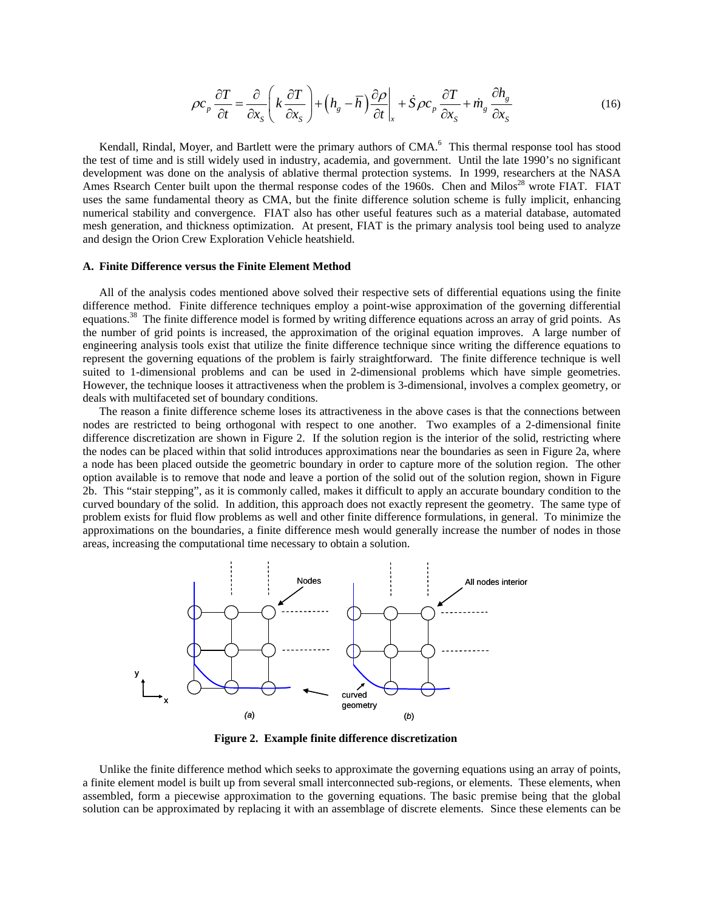$$
\rho c_p \frac{\partial T}{\partial t} = \frac{\partial}{\partial x_s} \left( k \frac{\partial T}{\partial x_s} \right) + \left( h_g - \overline{h} \right) \frac{\partial \rho}{\partial t} \bigg|_{x} + \dot{S} \rho c_p \frac{\partial T}{\partial x_s} + \dot{m}_g \frac{\partial h_g}{\partial x_s}
$$
(16)

<span id="page-6-0"></span>Kendall, Rindal, Moyer, and Bartlett were the primary authors of CMA.<sup>6</sup> This thermal response tool has stood the test of time and is still widely used in industry, academia, and government. Until the late 1990's no significant development was done on the analysis of ablative thermal protection systems. In 1999, researchers at the NASA Ames Rsearch Center built upon the thermal response codes of the 1960s. Chen and Milos<sup>28</sup> wrote FIAT. FIAT uses the same fundamental theory as CMA, but the finite difference solution scheme is fully implicit, enhancing numerical stability and convergence. FIAT also has other useful features such as a material database, automated mesh generation, and thickness optimization. At present, FIAT is the primary analysis tool being used to analyze and design the Orion Crew Exploration Vehicle heatshield.

## **A. Finite Difference versus the Finite Element Method**

 All of the analysis codes mentioned above solved their respective sets of differential equations using the finite difference method. Finite difference techniques employ a point-wise approximation of the governing differential equations.<sup>38</sup> The finite difference model is formed by writing difference equations across an array of grid points. As the number of grid points is increased, the approximation of the original equation improves. A large number of engineering analysis tools exist that utilize the finite difference technique since writing the difference equations to represent the governing equations of the problem is fairly straightforward. The finite difference technique is well suited to 1-dimensional problems and can be used in 2-dimensional problems which have simple geometries. However, the technique looses it attractiveness when the problem is 3-dimensional, involves a complex geometry, or deals with multifaceted set of boundary conditions.

 The reason a finite difference scheme loses its attractiveness in the above cases is that the connections between nodes are restricted to being orthogonal with respect to one another. Two examples of a 2-dimensional finite difference discretization are shown in [Figure 2.](#page-6-1) If the solution region is the interior of the solid, restricting where the nodes can be placed within that solid introduces approximations near the boundaries as seen in [Figure 2a](#page-6-1), where a node has been placed outside the geometric boundary in order to capture more of the solution region. The other option available is to remove that node and leave a portion of the solid out of the solution region, shown in [Figure](#page-6-1)  [2b](#page-6-1). This "stair stepping", as it is commonly called, makes it difficult to apply an accurate boundary condition to the curved boundary of the solid. In addition, this approach does not exactly represent the geometry. The same type of problem exists for fluid flow problems as well and other finite difference formulations, in general. To minimize the approximations on the boundaries, a finite difference mesh would generally increase the number of nodes in those areas, increasing the computational time necessary to obtain a solution.



**Figure 2. Example finite difference discretization** 

<span id="page-6-1"></span> Unlike the finite difference method which seeks to approximate the governing equations using an array of points, a finite element model is built up from several small interconnected sub-regions, or elements. These elements, when assembled, form a piecewise approximation to the governing equations. The basic premise being that the global solution can be approximated by replacing it with an assemblage of discrete elements. Since these elements can be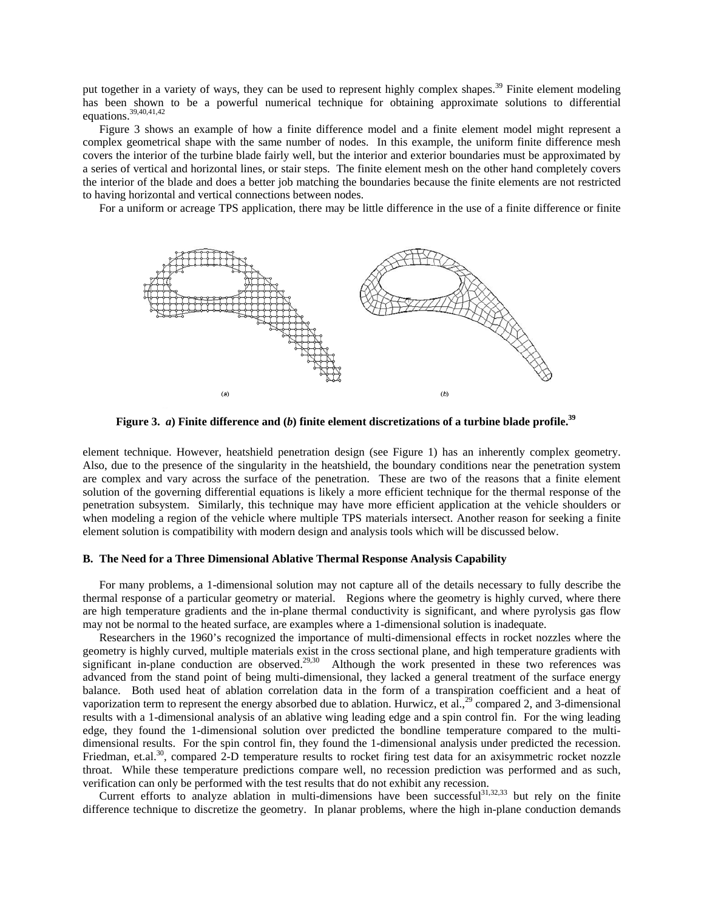put together in a variety of ways, they can be used to represent highly complex shapes.<sup>39</sup> Finite element modeling has been shown to be a powerful numerical technique for obtaining approximate solutions to differential equations.<sup>39,40,41,42</sup>

[Figure 3](#page-7-0) shows an example of how a finite difference model and a finite element model might represent a complex geometrical shape with the same number of nodes. In this example, the uniform finite difference mesh covers the interior of the turbine blade fairly well, but the interior and exterior boundaries must be approximated by a series of vertical and horizontal lines, or stair steps. The finite element mesh on the other hand completely covers the interior of the blade and does a better job matching the boundaries because the finite elements are not restricted to having horizontal and vertical connections between nodes.

For a uniform or acreage TPS application, there may be little difference in the use of a finite difference or finite



**Figure 3.** *a***) Finite difference and (***b***) finite element discretizations of a turbine blade profile.39**

<span id="page-7-0"></span>element technique. However, heatshield penetration design (see [Figure 1](#page-3-0)) has an inherently complex geometry. Also, due to the presence of the singularity in the heatshield, the boundary conditions near the penetration system are complex and vary across the surface of the penetration. These are two of the reasons that a finite element solution of the governing differential equations is likely a more efficient technique for the thermal response of the penetration subsystem. Similarly, this technique may have more efficient application at the vehicle shoulders or when modeling a region of the vehicle where multiple TPS materials intersect. Another reason for seeking a finite element solution is compatibility with modern design and analysis tools which will be discussed below.

## **B. The Need for a Three Dimensional Ablative Thermal Response Analysis Capability**

 For many problems, a 1-dimensional solution may not capture all of the details necessary to fully describe the thermal response of a particular geometry or material. Regions where the geometry is highly curved, where there are high temperature gradients and the in-plane thermal conductivity is significant, and where pyrolysis gas flow may not be normal to the heated surface, are examples where a 1-dimensional solution is inadequate.

 Researchers in the 1960's recognized the importance of multi-dimensional effects in rocket nozzles where the geometry is highly curved, multiple materials exist in the cross sectional plane, and high temperature gradients with significant in-plane conduction are observed.<sup>29,30</sup> Although the work presented in these two references was advanced from the stand point of being multi-dimensional, they lacked a general treatment of the surface energy balance. Both used heat of ablation correlation data in the form of a transpiration coefficient and a heat of vaporization term to represent the energy absorbed due to ablation. Hurwicz, et al.,<sup>29</sup> compared 2, and 3-dimensional results with a 1-dimensional analysis of an ablative wing leading edge and a spin control fin. For the wing leading edge, they found the 1-dimensional solution over predicted the bondline temperature compared to the multidimensional results. For the spin control fin, they found the 1-dimensional analysis under predicted the recession. Friedman, et.al.<sup>30</sup>, compared 2-D temperature results to rocket firing test data for an axisymmetric rocket nozzle throat. While these temperature predictions compare well, no recession prediction was performed and as such, verification can only be performed with the test results that do not exhibit any recession.

Current efforts to analyze ablation in multi-dimensions have been successful<sup>31,32,33</sup> but rely on the finite difference technique to discretize the geometry. In planar problems, where the high in-plane conduction demands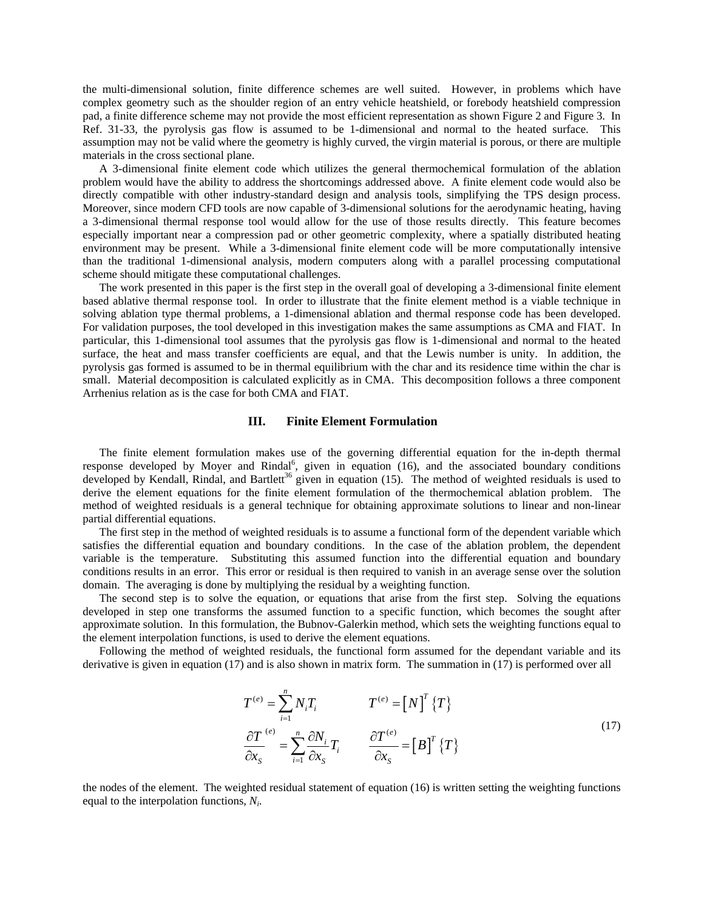the multi-dimensional solution, finite difference schemes are well suited. However, in problems which have complex geometry such as the shoulder region of an entry vehicle heatshield, or forebody heatshield compression pad, a finite difference scheme may not provide the most efficient representation as shown [Figure 2](#page-6-1) and [Figure 3](#page-7-0). In Ref. 31-33, the pyrolysis gas flow is assumed to be 1-dimensional and normal to the heated surface. This assumption may not be valid where the geometry is highly curved, the virgin material is porous, or there are multiple materials in the cross sectional plane.

A 3-dimensional finite element code which utilizes the general thermochemical formulation of the ablation problem would have the ability to address the shortcomings addressed above. A finite element code would also be directly compatible with other industry-standard design and analysis tools, simplifying the TPS design process. Moreover, since modern CFD tools are now capable of 3-dimensional solutions for the aerodynamic heating, having a 3-dimensional thermal response tool would allow for the use of those results directly. This feature becomes especially important near a compression pad or other geometric complexity, where a spatially distributed heating environment may be present. While a 3-dimensional finite element code will be more computationally intensive than the traditional 1-dimensional analysis, modern computers along with a parallel processing computational scheme should mitigate these computational challenges.

The work presented in this paper is the first step in the overall goal of developing a 3-dimensional finite element based ablative thermal response tool. In order to illustrate that the finite element method is a viable technique in solving ablation type thermal problems, a 1-dimensional ablation and thermal response code has been developed. For validation purposes, the tool developed in this investigation makes the same assumptions as CMA and FIAT. In particular, this 1-dimensional tool assumes that the pyrolysis gas flow is 1-dimensional and normal to the heated surface, the heat and mass transfer coefficients are equal, and that the Lewis number is unity. In addition, the pyrolysis gas formed is assumed to be in thermal equilibrium with the char and its residence time within the char is small. Material decomposition is calculated explicitly as in CMA. This decomposition follows a three component Arrhenius relation as is the case for both CMA and FIAT.

## **III. Finite Element Formulation**

 The finite element formulation makes use of the governing differential equation for the in-depth thermal response developed by Moyer and Rindal<sup>6</sup>, given in equation [\(16\),](#page-6-0) and the associated boundary conditions developed by Kendall, Rindal, and Bartlett<sup>36</sup> given in equation [\(15\).](#page-5-5) The method of weighted residuals is used to derive the element equations for the finite element formulation of the thermochemical ablation problem. The method of weighted residuals is a general technique for obtaining approximate solutions to linear and non-linear partial differential equations.

 The first step in the method of weighted residuals is to assume a functional form of the dependent variable which satisfies the differential equation and boundary conditions. In the case of the ablation problem, the dependent variable is the temperature. Substituting this assumed function into the differential equation and boundary conditions results in an error. This error or residual is then required to vanish in an average sense over the solution domain. The averaging is done by multiplying the residual by a weighting function.

 The second step is to solve the equation, or equations that arise from the first step. Solving the equations developed in step one transforms the assumed function to a specific function, which becomes the sought after approximate solution. In this formulation, the Bubnov-Galerkin method, which sets the weighting functions equal to the element interpolation functions, is used to derive the element equations.

<span id="page-8-0"></span> Following the method of weighted residuals, the functional form assumed for the dependant variable and its derivative is given in equation [\(17\)](#page-8-0) and is also shown in matrix form. The summation in [\(17\)](#page-8-0) is performed over all

$$
T^{(e)} = \sum_{i=1}^{n} N_i T_i \qquad T^{(e)} = [N]^T \{T\}
$$
  
\n
$$
\frac{\partial T}{\partial x_s}^{(e)} = \sum_{i=1}^{n} \frac{\partial N_i}{\partial x_s} T_i \qquad \frac{\partial T^{(e)}}{\partial x_s} = [B]^T \{T\}
$$
\n(17)

the nodes of the element. The weighted residual statement of equation [\(16\)](#page-6-0) is written setting the weighting functions equal to the interpolation functions, *Ni*.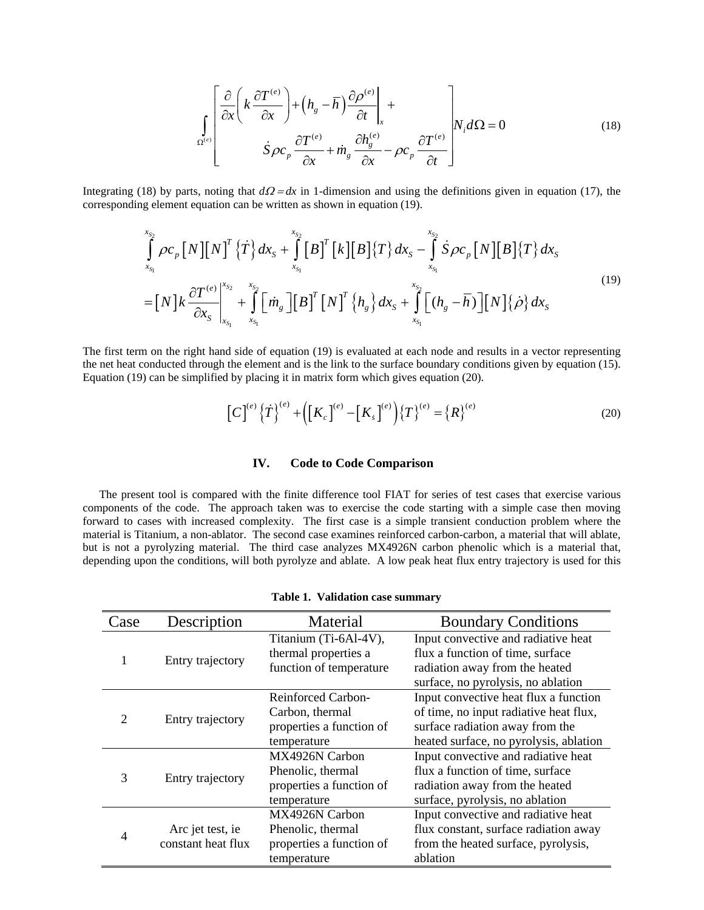$$
\int_{\Omega^{(e)}} \left[ \frac{\partial}{\partial x} \left( k \frac{\partial T^{(e)}}{\partial x} \right) + \left( h_g - \overline{h} \right) \frac{\partial \rho^{(e)}}{\partial t} \right]_x + \left[ \frac{\partial}{\partial x} \left( k \frac{\partial T^{(e)}}{\partial x} \right) + \frac{\partial T^{(e)}}{\partial x} \frac{\partial T^{(e)}}{\partial x} \right]_x^{\theta} d\Omega = 0 \tag{18}
$$

<span id="page-9-1"></span><span id="page-9-0"></span>Integrating [\(18\)](#page-9-0) by parts, noting that *d*Ω = *dx* in 1-dimension and using the definitions given in equation [\(17\),](#page-8-0) the corresponding element equation can be written as shown in equation [\(19\)](#page-9-1).

$$
\int_{x_{S_1}}^{x_{S_2}} \rho c_p [N] [N]^T \{ \dot{T} \} dx_S + \int_{x_{S_1}}^{x_{S_2}} [B]^T [k] [B] \{ T \} dx_S - \int_{x_{S_1}}^{x_{S_2}} \dot{S} \rho c_p [N] [B] \{ T \} dx_S
$$
\n
$$
= [N] k \frac{\partial T^{(e)}}{\partial x_S} \Big|_{x_{S_1}}^{x_{S_2}} + \int_{x_{S_1}}^{x_{S_2}} [m_g] [B]^T [N]^T \{ h_g \} dx_S + \int_{x_{S_1}}^{x_{S_2}} [(h_g - \overline{h})] [N] \{ \dot{\rho} \} dx_S
$$
\n(19)

<span id="page-9-2"></span>The first term on the right hand side of equation [\(19\)](#page-9-1) is evaluated at each node and results in a vector representing the net heat conducted through the element and is the link to the surface boundary conditions given by equation [\(15\).](#page-5-5) Equation [\(19\)](#page-9-1) can be simplified by placing it in matrix form which gives equation [\(20\).](#page-9-2)

$$
\left[C\right]^{(e)}\left\{\dot{T}\right\}^{(e)} + \left(\left[K_c\right]^{(e)} - \left[K_s\right]^{(e)}\right)\left\{T\right\}^{(e)} = \left\{R\right\}^{(e)}\tag{20}
$$

# **IV. Code to Code Comparison**

 The present tool is compared with the finite difference tool FIAT for series of test cases that exercise various components of the code. The approach taken was to exercise the code starting with a simple case then moving forward to cases with increased complexity. The first case is a simple transient conduction problem where the material is Titanium, a non-ablator. The second case examines reinforced carbon-carbon, a material that will ablate, but is not a pyrolyzing material. The third case analyzes MX4926N carbon phenolic which is a material that, depending upon the conditions, will both pyrolyze and ablate. A low peak heat flux entry trajectory is used for this

| 'ase           | Description        | Material                 | <b>Boundary Conditions</b>             |
|----------------|--------------------|--------------------------|----------------------------------------|
|                |                    | Titanium (Ti-6Al-4V),    | Input convective and radiative heat    |
|                | Entry trajectory   | thermal properties a     | flux a function of time, surface       |
|                |                    | function of temperature  | radiation away from the heated         |
|                |                    |                          | surface, no pyrolysis, no ablation     |
| $\overline{2}$ |                    | Reinforced Carbon-       | Input convective heat flux a function  |
|                | Entry trajectory   | Carbon, thermal          | of time, no input radiative heat flux, |
|                |                    | properties a function of | surface radiation away from the        |
|                |                    | temperature              | heated surface, no pyrolysis, ablation |
|                | Entry trajectory   | MX4926N Carbon           | Input convective and radiative heat    |
| 3              |                    | Phenolic, thermal        | flux a function of time, surface       |
|                |                    | properties a function of | radiation away from the heated         |
|                |                    | temperature              | surface, pyrolysis, no ablation        |
|                |                    | MX4926N Carbon           | Input convective and radiative heat    |
| 4              | Arc jet test, ie   | Phenolic, thermal        | flux constant, surface radiation away  |
|                | constant heat flux | properties a function of | from the heated surface, pyrolysis,    |
|                |                    | temperature              | ablation                               |

|  |  | Table 1. Validation case summary |
|--|--|----------------------------------|
|--|--|----------------------------------|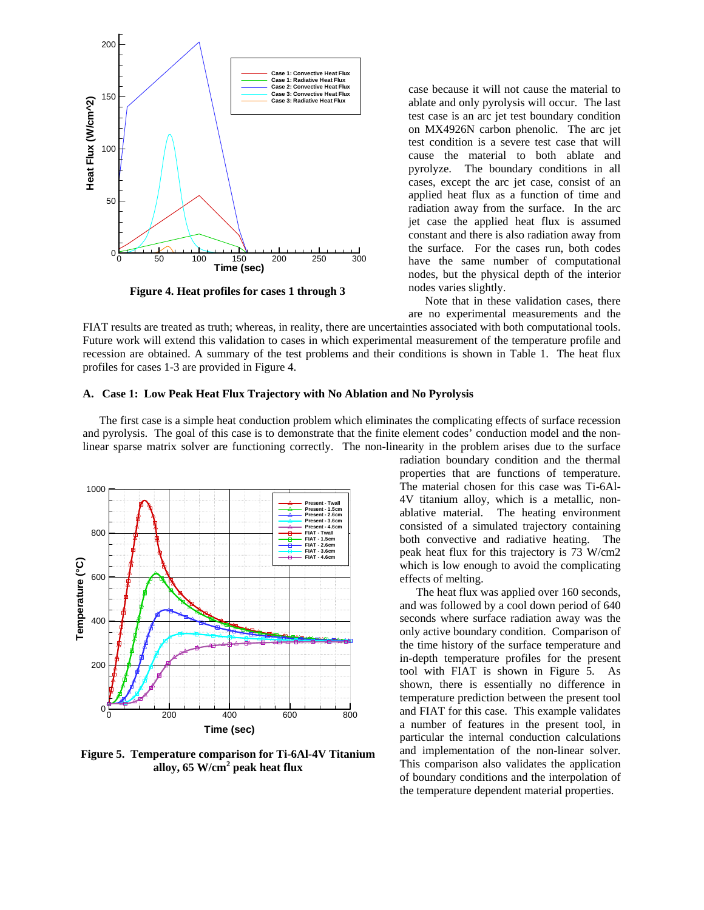

**Figure 4. Heat profiles for cases 1 through 3** 

case because it will not cause the material to ablate and only pyrolysis will occur. The last test case is an arc jet test boundary condition on MX4926N carbon phenolic. The arc jet test condition is a severe test case that will cause the material to both ablate and pyrolyze. The boundary conditions in all cases, except the arc jet case, consist of an applied heat flux as a function of time and radiation away from the surface. In the arc jet case the applied heat flux is assumed constant and there is also radiation away from the surface. For the cases run, both codes have the same number of computational nodes, but the physical depth of the interior nodes varies slightly.

 Note that in these validation cases, there are no experimental measurements and the

<span id="page-10-0"></span>FIAT results are treated as truth; whereas, in reality, there are uncertainties associated with both computational tools. Future work will extend this validation to cases in which experimental measurement of the temperature profile and recession are obtained. A summary of the test problems and their conditions is shown in Table 1. The heat flux profiles for cases 1-3 are provided in [Figure 4](#page-10-0).

## **A. Case 1: Low Peak Heat Flux Trajectory with No Ablation and No Pyrolysis**

 The first case is a simple heat conduction problem which eliminates the complicating effects of surface recession and pyrolysis. The goal of this case is to demonstrate that the finite element codes' conduction model and the nonlinear sparse matrix solver are functioning correctly. The non-linearity in the problem arises due to the surface



<span id="page-10-1"></span>**Figure 5. Temperature comparison for Ti-6Al-4V Titanium alloy, 65 W/cm<sup>2</sup> peak heat flux** 

radiation boundary condition and the thermal properties that are functions of temperature. The material chosen for this case was Ti-6Al-4V titanium alloy, which is a metallic, nonablative material. The heating environment consisted of a simulated trajectory containing both convective and radiative heating. The peak heat flux for this trajectory is 73 W/cm2 which is low enough to avoid the complicating effects of melting.

 The heat flux was applied over 160 seconds, and was followed by a cool down period of 640 seconds where surface radiation away was the only active boundary condition. Comparison of the time history of the surface temperature and in-depth temperature profiles for the present tool with FIAT is shown in [Figure 5.](#page-10-1) As shown, there is essentially no difference in temperature prediction between the present tool and FIAT for this case. This example validates a number of features in the present tool, in particular the internal conduction calculations and implementation of the non-linear solver. This comparison also validates the application of boundary conditions and the interpolation of the temperature dependent material properties.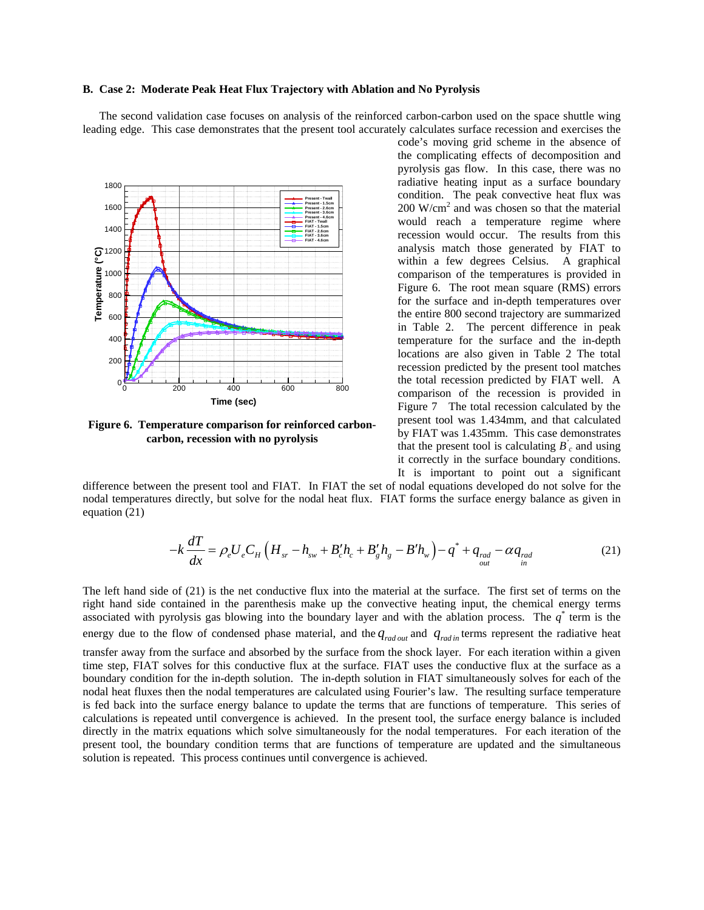## **B. Case 2: Moderate Peak Heat Flux Trajectory with Ablation and No Pyrolysis**

 The second validation case focuses on analysis of the reinforced carbon-carbon used on the space shuttle wing leading edge. This case demonstrates that the present tool accurately calculates surface recession and exercises the



<span id="page-11-0"></span>**Figure 6. Temperature comparison for reinforced carboncarbon, recession with no pyrolysis** 

code's moving grid scheme in the absence of the complicating effects of decomposition and pyrolysis gas flow. In this case, there was no radiative heating input as a surface boundary condition. The peak convective heat flux was  $200 \text{ W/cm}^2$  and was chosen so that the material would reach a temperature regime where recession would occur. The results from this analysis match those generated by FIAT to within a few degrees Celsius. A graphical comparison of the temperatures is provided in [Figure 6.](#page-11-0) The root mean square (RMS) errors for the surface and in-depth temperatures over the entire 800 second trajectory are summarized in [Table 2.](#page-12-0) The percent difference in peak temperature for the surface and the in-depth locations are also given in [Table 2](#page-12-0) The total recession predicted by the present tool matches the total recession predicted by FIAT well. A comparison of the recession is provided in [Figure 7](#page-12-1) The total recession calculated by the present tool was 1.434mm, and that calculated by FIAT was 1.435mm. This case demonstrates that the present tool is calculating  $B_c$  and using it correctly in the surface boundary conditions. It is important to point out a significant

<span id="page-11-1"></span>difference between the present tool and FIAT. In FIAT the set of nodal equations developed do not solve for the nodal temperatures directly, but solve for the nodal heat flux. FIAT forms the surface energy balance as given in equation [\(21\)](#page-11-1)

$$
-k\frac{dT}{dx} = \rho_e U_e C_H \left( H_{sr} - h_{sw} + B_c' h_c + B_g' h_g - B' h_w \right) - q^* + q_{rad} - \alpha q_{rad}
$$
 (21)

The left hand side of [\(21\)](#page-11-1) is the net conductive flux into the material at the surface. The first set of terms on the right hand side contained in the parenthesis make up the convective heating input, the chemical energy terms associated with pyrolysis gas blowing into the boundary layer and with the ablation process. The  $q^*$  term is the energy due to the flow of condensed phase material, and the  $q_{rad \text{ out}}$  and  $q_{rad \text{ in}}$  terms represent the radiative heat transfer away from the surface and absorbed by the surface from the shock layer. For each iteration within a given time step, FIAT solves for this conductive flux at the surface. FIAT uses the conductive flux at the surface as a boundary condition for the in-depth solution. The in-depth solution in FIAT simultaneously solves for each of the nodal heat fluxes then the nodal temperatures are calculated using Fourier's law. The resulting surface temperature is fed back into the surface energy balance to update the terms that are functions of temperature. This series of calculations is repeated until convergence is achieved. In the present tool, the surface energy balance is included directly in the matrix equations which solve simultaneously for the nodal temperatures. For each iteration of the present tool, the boundary condition terms that are functions of temperature are updated and the simultaneous solution is repeated. This process continues until convergence is achieved.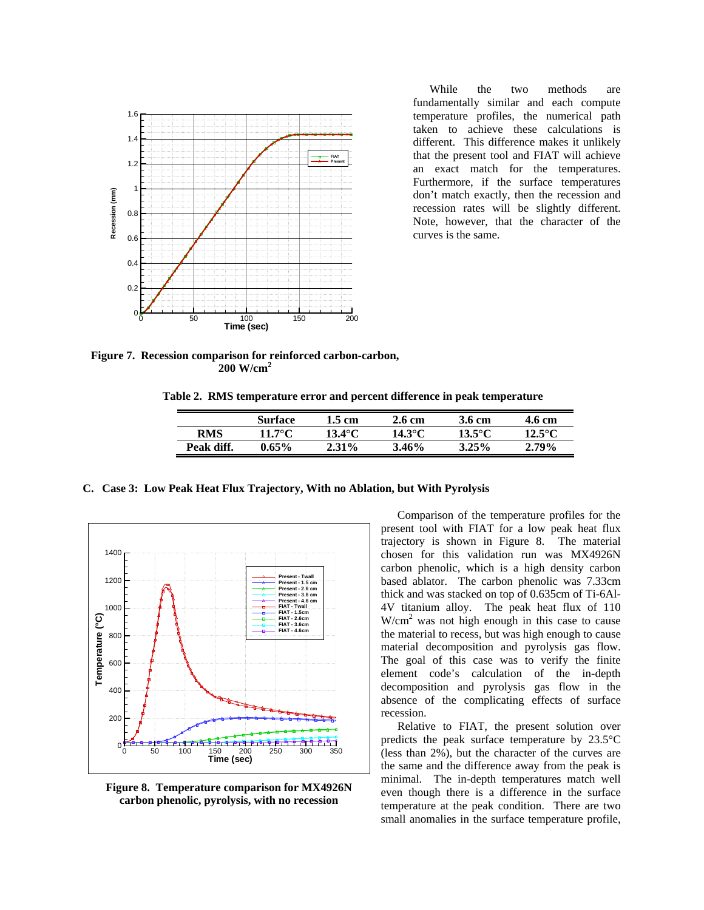

 While the two methods are fundamentally similar and each compute temperature profiles, the numerical path taken to achieve these calculations is different. This difference makes it unlikely that the present tool and FIAT will achieve an exact match for the temperatures. Furthermore, if the surface temperatures don't match exactly, then the recession and recession rates will be slightly different. Note, however, that the character of the curves is the same.

<span id="page-12-1"></span><span id="page-12-0"></span>**Figure 7. Recession comparison for reinforced carbon-carbon, 200 W/cm2**

**Table 2. RMS temperature error and percent difference in peak temperature** 

|            | <b>Surface</b> | 1.5 cm   | $2.6 \text{ cm}$ | 3.6 cm   | 4.6 cm |
|------------|----------------|----------|------------------|----------|--------|
| <b>RMS</b> | 11.7°C         | 13.4°C   | 14.3°C           | 13.5°C   | 12.5°C |
| Peak diff. | $0.65\%$       | $2.31\%$ | 3.46%            | $3.25\%$ | 2.79%  |

**C. Case 3: Low Peak Heat Flux Trajectory, With no Ablation, but With Pyrolysis** 



<span id="page-12-2"></span>**Figure 8. Temperature comparison for MX4926N carbon phenolic, pyrolysis, with no recession** 

 Comparison of the temperature profiles for the present tool with FIAT for a low peak heat flux trajectory is shown in [Figure 8](#page-12-2). The material chosen for this validation run was MX4926N carbon phenolic, which is a high density carbon based ablator. The carbon phenolic was 7.33cm thick and was stacked on top of 0.635cm of Ti-6Al-4V titanium alloy. The peak heat flux of 110 W/cm<sup>2</sup> was not high enough in this case to cause the material to recess, but was high enough to cause material decomposition and pyrolysis gas flow. The goal of this case was to verify the finite element code's calculation of the in-depth decomposition and pyrolysis gas flow in the absence of the complicating effects of surface recession.

 Relative to FIAT, the present solution over predicts the peak surface temperature by 23.5°C (less than 2%), but the character of the curves are the same and the difference away from the peak is minimal. The in-depth temperatures match well even though there is a difference in the surface temperature at the peak condition. There are two small anomalies in the surface temperature profile,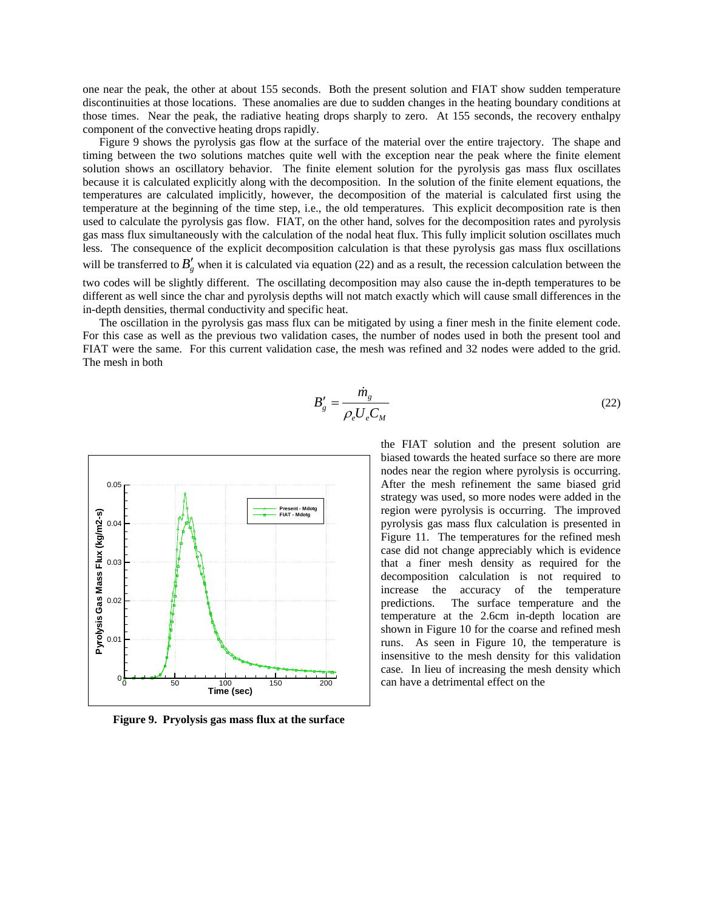one near the peak, the other at about 155 seconds. Both the present solution and FIAT show sudden temperature discontinuities at those locations. These anomalies are due to sudden changes in the heating boundary conditions at those times. Near the peak, the radiative heating drops sharply to zero. At 155 seconds, the recovery enthalpy component of the convective heating drops rapidly.

[Figure 9](#page-13-0) shows the pyrolysis gas flow at the surface of the material over the entire trajectory. The shape and timing between the two solutions matches quite well with the exception near the peak where the finite element solution shows an oscillatory behavior. The finite element solution for the pyrolysis gas mass flux oscillates because it is calculated explicitly along with the decomposition. In the solution of the finite element equations, the temperatures are calculated implicitly, however, the decomposition of the material is calculated first using the temperature at the beginning of the time step, i.e., the old temperatures. This explicit decomposition rate is then used to calculate the pyrolysis gas flow. FIAT, on the other hand, solves for the decomposition rates and pyrolysis gas mass flux simultaneously with the calculation of the nodal heat flux. This fully implicit solution oscillates much less. The consequence of the explicit decomposition calculation is that these pyrolysis gas mass flux oscillations will be transferred to  $B'_g$  when it is calculated via equation [\(22\)](#page-13-1) and as a result, the recession calculation between the two codes will be slightly different. The oscillating decomposition may also cause the in-depth temperatures to be

different as well since the char and pyrolysis depths will not match exactly which will cause small differences in the in-depth densities, thermal conductivity and specific heat.

 The oscillation in the pyrolysis gas mass flux can be mitigated by using a finer mesh in the finite element code. For this case as well as the previous two validation cases, the number of nodes used in both the present tool and FIAT were the same. For this current validation case, the mesh was refined and 32 nodes were added to the grid. The mesh in both

$$
B'_{g} = \frac{\dot{m}_{g}}{\rho_{e} U_{e} C_{M}}
$$
 (22)

<span id="page-13-1"></span>

<span id="page-13-0"></span>**Figure 9. Pryolysis gas mass flux at the surface** 

the FIAT solution and the present solution are biased towards the heated surface so there are more nodes near the region where pyrolysis is occurring. After the mesh refinement the same biased grid strategy was used, so more nodes were added in the region were pyrolysis is occurring. The improved pyrolysis gas mass flux calculation is presented in [Figure 11](#page-14-0). The temperatures for the refined mesh case did not change appreciably which is evidence that a finer mesh density as required for the decomposition calculation is not required to increase the accuracy of the temperature predictions. The surface temperature and the temperature at the 2.6cm in-depth location are shown in [Figure 10](#page-14-1) for the coarse and refined mesh runs. As seen in [Figure 10](#page-14-1), the temperature is insensitive to the mesh density for this validation case. In lieu of increasing the mesh density which can have a detrimental effect on the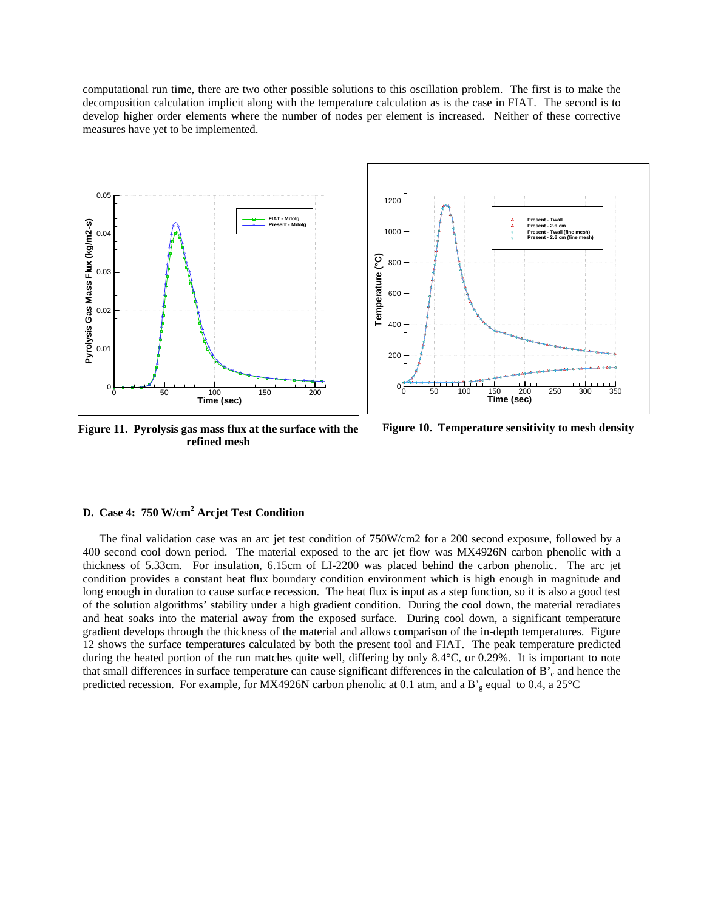computational run time, there are two other possible solutions to this oscillation problem. The first is to make the decomposition calculation implicit along with the temperature calculation as is the case in FIAT. The second is to develop higher order elements where the number of nodes per element is increased. Neither of these corrective measures have yet to be implemented.



<span id="page-14-1"></span><span id="page-14-0"></span>**Figure 11. Pyrolysis gas mass flux at the surface with the Figure 10. Temperature sensitivity to mesh density refined mesh** 



# **D. Case 4: 750 W/cm2 Arcjet Test Condition**

 The final validation case was an arc jet test condition of 750W/cm2 for a 200 second exposure, followed by a 400 second cool down period. The material exposed to the arc jet flow was MX4926N carbon phenolic with a thickness of 5.33cm. For insulation, 6.15cm of LI-2200 was placed behind the carbon phenolic. The arc jet condition provides a constant heat flux boundary condition environment which is high enough in magnitude and long enough in duration to cause surface recession. The heat flux is input as a step function, so it is also a good test of the solution algorithms' stability under a high gradient condition. During the cool down, the material reradiates and heat soaks into the material away from the exposed surface. During cool down, a significant temperature gradient develops through the thickness of the material and allows comparison of the in-depth temperatures. [Figure](#page-15-0)  [12](#page-15-0) shows the surface temperatures calculated by both the present tool and FIAT. The peak temperature predicted during the heated portion of the run matches quite well, differing by only 8.4°C, or 0.29%. It is important to note that small differences in surface temperature can cause significant differences in the calculation of  $B'_{c}$  and hence the predicted recession. For example, for MX4926N carbon phenolic at 0.1 atm, and a B'<sub>g</sub> equal to 0.4, a 25°C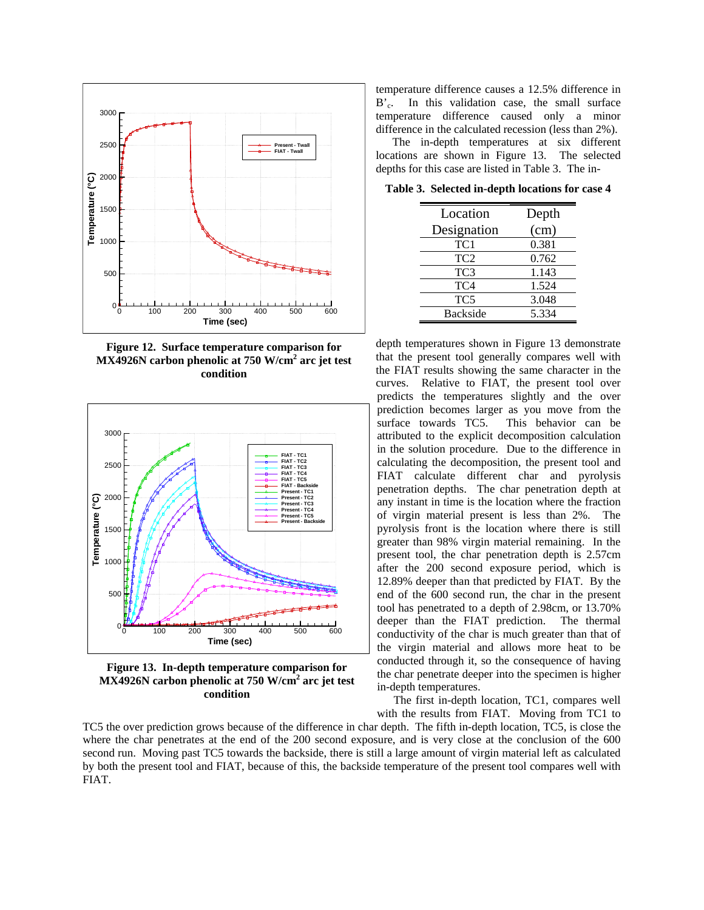<span id="page-15-2"></span>

<span id="page-15-0"></span>**Figure 12. Surface temperature comparison for MX4926N carbon phenolic at 750 W/cm2 arc jet test condition** 



<span id="page-15-1"></span>**Figure 13. In-depth temperature comparison for MX4926N carbon phenolic at 750 W/cm2 arc jet test condition** 

temperature difference causes a 12.5% difference in B'<sub>c</sub>. In this validation case, the small surface temperature difference caused only a minor difference in the calculated recession (less than 2%).

 The in-depth temperatures at six different locations are shown in [Figure 13](#page-15-1). The selected depths for this case are listed in [Table 3.](#page-15-2) The in-

**Table 3. Selected in-depth locations for case 4** 

| Location        | Depth |
|-----------------|-------|
| Designation     | (cm)  |
| TC <sub>1</sub> | 0.381 |
| TC <sub>2</sub> | 0.762 |
| TC <sub>3</sub> | 1.143 |
| TC <sub>4</sub> | 1.524 |
| TC <sub>5</sub> | 3.048 |
| <b>Backside</b> | 5.334 |

depth temperatures shown in [Figure 13](#page-15-1) demonstrate that the present tool generally compares well with the FIAT results showing the same character in the curves. Relative to FIAT, the present tool over predicts the temperatures slightly and the over prediction becomes larger as you move from the surface towards TC5. This behavior can be attributed to the explicit decomposition calculation in the solution procedure. Due to the difference in calculating the decomposition, the present tool and FIAT calculate different char and pyrolysis penetration depths. The char penetration depth at any instant in time is the location where the fraction of virgin material present is less than 2%. The pyrolysis front is the location where there is still greater than 98% virgin material remaining. In the present tool, the char penetration depth is 2.57cm after the 200 second exposure period, which is 12.89% deeper than that predicted by FIAT. By the end of the 600 second run, the char in the present tool has penetrated to a depth of 2.98cm, or 13.70% deeper than the FIAT prediction. The thermal conductivity of the char is much greater than that of the virgin material and allows more heat to be conducted through it, so the consequence of having the char penetrate deeper into the specimen is higher in-depth temperatures.

 The first in-depth location, TC1, compares well with the results from FIAT. Moving from TC1 to

TC5 the over prediction grows because of the difference in char depth. The fifth in-depth location, TC5, is close the where the char penetrates at the end of the 200 second exposure, and is very close at the conclusion of the 600 second run. Moving past TC5 towards the backside, there is still a large amount of virgin material left as calculated by both the present tool and FIAT, because of this, the backside temperature of the present tool compares well with FIAT.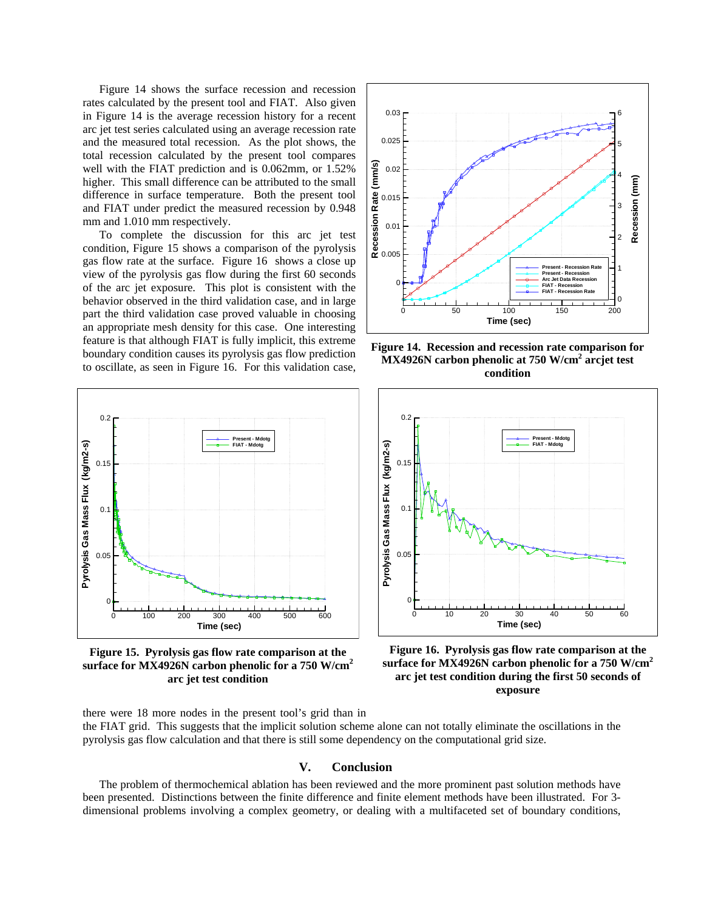[Figure 14](#page-16-0) shows the surface recession and recession rates calculated by the present tool and FIAT. Also given in [Figure 14](#page-16-0) is the average recession history for a recent arc jet test series calculated using an average recession rate and the measured total recession. As the plot shows, the total recession calculated by the present tool compares well with the FIAT prediction and is 0.062mm, or 1.52% higher. This small difference can be attributed to the small difference in surface temperature. Both the present tool and FIAT under predict the measured recession by 0.948 mm and 1.010 mm respectively.

 To complete the discussion for this arc jet test condition, [Figure 15](#page-16-1) shows a comparison of the pyrolysis gas flow rate at the surface. [Figure 16](#page-16-2) shows a close up view of the pyrolysis gas flow during the first 60 seconds of the arc jet exposure. This plot is consistent with the behavior observed in the third validation case, and in large part the third validation case proved valuable in choosing an appropriate mesh density for this case. One interesting feature is that although FIAT is fully implicit, this extreme boundary condition causes its pyrolysis gas flow prediction to oscillate, as seen in [Figure 16.](#page-16-2) For this validation case,

<span id="page-16-0"></span>

<span id="page-16-2"></span><span id="page-16-1"></span>



**Figure 14. Recession and recession rate comparison for MX4926N carbon phenolic at 750 W/cm2 arcjet test condition** 



**Figure 16. Pyrolysis gas flow rate comparison at the surface for MX4926N carbon phenolic for a 750 W/cm2 arc jet test condition during the first 50 seconds of exposure** 

there were 18 more nodes in the present tool's grid than in the FIAT grid. This suggests that the implicit solution scheme alone can not totally eliminate the oscillations in the pyrolysis gas flow calculation and that there is still some dependency on the computational grid size.

### **V. Conclusion**

 The problem of thermochemical ablation has been reviewed and the more prominent past solution methods have been presented. Distinctions between the finite difference and finite element methods have been illustrated. For 3 dimensional problems involving a complex geometry, or dealing with a multifaceted set of boundary conditions,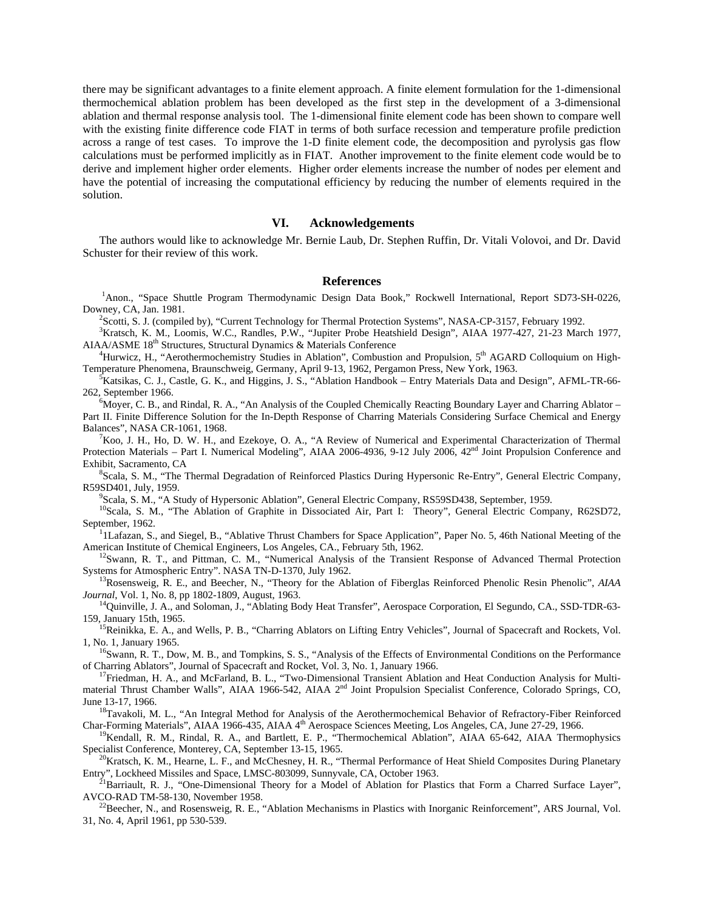there may be significant advantages to a finite element approach. A finite element formulation for the 1-dimensional thermochemical ablation problem has been developed as the first step in the development of a 3-dimensional ablation and thermal response analysis tool. The 1-dimensional finite element code has been shown to compare well with the existing finite difference code FIAT in terms of both surface recession and temperature profile prediction across a range of test cases. To improve the 1-D finite element code, the decomposition and pyrolysis gas flow calculations must be performed implicitly as in FIAT. Another improvement to the finite element code would be to derive and implement higher order elements. Higher order elements increase the number of nodes per element and have the potential of increasing the computational efficiency by reducing the number of elements required in the solution.

# **VI. Acknowledgements**

 The authors would like to acknowledge Mr. Bernie Laub, Dr. Stephen Ruffin, Dr. Vitali Volovoi, and Dr. David Schuster for their review of this work.

## **References**

<sup>1</sup>Anon., "Space Shuttle Program Thermodynamic Design Data Book," Rockwell International, Report SD73-SH-0226, Downey, CA, Jan. 1981.

<sup>2</sup>Scotti, S. J. (compiled by), "Current Technology for Thermal Protection Systems", NASA-CP-3157, February 1992.

 $K<sup>3</sup>Kratsch, K. M., Loomis, W.C., Randles, P.W., "Jupiter Probe Heatshield Design", AIAA 1977-427, 21-23 March 1977,$ AIAA/ASME  $18<sup>th</sup>$  Structures, Structural Dynamics & Materials Conference

<sup>4</sup>Hurwicz, H., "Aerothermochemistry Studies in Ablation", Combustion and Propulsion,  $5<sup>th</sup>$  AGARD Colloquium on High-Temperature Phenomena, Braunschweig, Germany, April 9-13, 1962, Pergamon Press, New York, 1963. 5

<sup>5</sup>Katsikas, C. J., Castle, G. K., and Higgins, J. S., "Ablation Handbook – Entry Materials Data and Design", AFML-TR-66-262, September 1966.

 ${}^6$ Moyer, C. B., and Rindal, R. A., "An Analysis of the Coupled Chemically Reacting Boundary Layer and Charring Ablator – Part II. Finite Difference Solution for the In-Depth Response of Charring Materials Considering Surface Chemical and Energy Balances", NASA CR-1061, 1968. 7

 $K^7$ Koo, J. H., Ho, D. W. H., and Ezekoye, O. A., "A Review of Numerical and Experimental Characterization of Thermal Protection Materials – Part I. Numerical Modeling", AIAA 2006-4936, 9-12 July 2006, 42<sup>nd</sup> Joint Propulsion Conference and Exhibit, Sacramento, CA

Scala, S. M., "The Thermal Degradation of Reinforced Plastics During Hypersonic Re-Entry", General Electric Company, R59SD401, July, 1959.<br>
<sup>9</sup>Scala, S. M., "A Study of Hypersonic Ablation", General Electric Company, RS59SD438, September, 1959.

<sup>10</sup>Scala, S. M., "The Ablation of Graphite in Dissociated Air, Part I: Theory", General Electric Company, R62SD72, September, 1962.

<sup>1</sup>ILafazan, S., and Siegel, B., "Ablative Thrust Chambers for Space Application", Paper No. 5, 46th National Meeting of the American Institute of Chemical Engineers, Los Angeles, CA., February 5th, 1962.<br><sup>12</sup>Swann, R. T., and Pittman, C. M., "Numerical Analysis of the Transient Response of Advanced Thermal Protection

Systems for Atmospheric Entry". NASA TN-D-1370, July 1962.<br><sup>13</sup>Rosensweig, R. E., and Beecher, N., "Theory for the Ablation of Fiberglas Reinforced Phenolic Resin Phenolic", *AIAA* 

*Journal*, Vol. 1, No. 8, pp 1802-1809, August, 1963.<br><sup>14</sup>Quinville, J. A., and Soloman, J., "Ablating Body Heat Transfer", Aerospace Corporation, El Segundo, CA., SSD-TDR-63-

159, January 15th, 1965.<br><sup>15</sup>Reinikka, E. A., and Wells, P. B., "Charring Ablators on Lifting Entry Vehicles", Journal of Spacecraft and Rockets, Vol. 1, No. 1, January 1965.<br><sup>16</sup>Swann, R. T., Dow, M. B., and Tompkins, S. S., "Analysis of the Effects of Environmental Conditions on the Performance

of Charring Ablators", Journal of Spacecraft and Rocket, Vol. 3, No. 1, January 1966.<br><sup>17</sup>Friedman, H. A., and McFarland, B. L., "Two-Dimensional Transient Ablation and Heat Conduction Analysis for Multi-

material Thrust Chamber Walls", AIAA 1966-542, AIAA 2nd Joint Propulsion Specialist Conference, Colorado Springs, CO, June 13-17, 1966.<br><sup>18</sup>Tavakoli, M. L., "An Integral Method for Analysis of the Aerothermochemical Behavior of Refractory-Fiber Reinforced

Char-Forming Materials", AIAA 1966-435, AIAA 4<sup>th</sup> Aerospace Sciences Meeting, Los Angeles, CA, June 27-29, 1966.<br><sup>19</sup>Kendall, R. M., Rindal, R. A., and Bartlett, E. P., "Thermochemical Ablation", AIAA 65-642, AIAA Thermop

<sup>20</sup> Kratsch, K. M., Hearne, L. F., and McChesney, H. R., "Thermal Performance of Heat Shield Composites During Planetary

Entry", Lockheed Missiles and Space, LMSC-803099, Sunnyvale, CA, October 1963.<br><sup>21</sup>Barriault, R. J., "One-Dimensional Theory for a Model of Ablation for Plastics that Form a Charred Surface Layer", AVCO-RAD TM-58-130, November 1958.<br><sup>22</sup>Beecher, N., and Rosensweig, R. E., "Ablation Mechanisms in Plastics with Inorganic Reinforcement", ARS Journal, Vol.

31, No. 4, April 1961, pp 530-539.